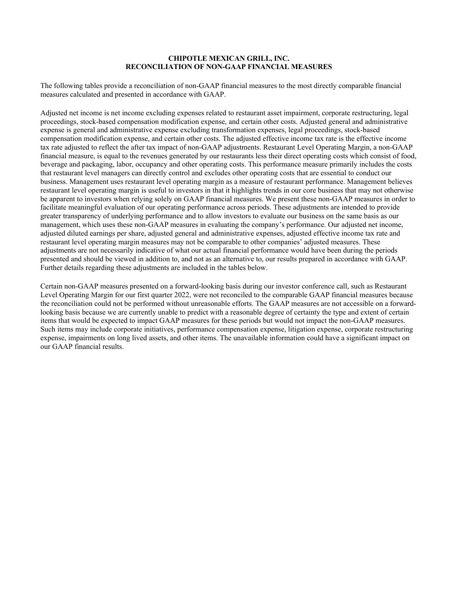The following tables provide a reconciliation of non-GAAP financial measures to the most directly comparable financial measures calculated and presented in accordance with GAAP.

Adjusted net income is net income excluding expenses related to restaurant asset impairment, corporate restructuring, legal proceedings, stock-based compensation modification expense, and certain other costs. Adjusted general and administrative expense is general and administrative expense excluding transformation expenses, legal proceedings, stock-based compensation modification expense, and certain other costs. The adjusted effective income tax rate is the effective income tax rate adjusted to reflect the after tax impact of non-GAAP adjustments. Restaurant Level Operating Margin, a non-GAAP financial measure, is equal to the revenues generated by our restaurants less their direct operating costs which consist of food, beverage and packaging, labor, occupancy and other operating costs. This performance measure primarily includes the costs that restaurant level managers can directly control and excludes other operating costs that are essential to conduct our business. Management uses restaurant level operating margin as a measure of restaurant performance. Management believes restaurant level operating margin is useful to investors in that it highlights trends in our core business that may not otherwise be apparent to investors when relying solely on GAAP financial measures. We present these non-GAAP measures in order to facilitate meaningful evaluation of our operating performance across periods. These adjustments are intended to provide greater transparency of underlying performance and to allow investors to evaluate our business on the same basis as our management, which uses these non-GAAP measures in evaluating the company's performance. Our adjusted net income, adjusted diluted earnings per share, adjusted general and administrative expenses, adjusted effective income tax rate and restaurant level operating margin measures may not be comparable to other companies' adjusted measures. These adjustments are not necessarily indicative of what our actual financial performance would have been during the periods presented and should be viewed in addition to, and not as an alternative to, our results prepared in accordance with GAAP. Further details regarding these adjustments are included in the tables below.

Certain non-GAAP measures presented on a forward-looking basis during our investor conference call, such as Restaurant Level Operating Margin for our first quarter 2022, were not reconciled to the comparable GAAP financial measures because the reconciliation could not be performed without unreasonable efforts. The GAAP measures are not accessible on a forwardlooking basis because we are currently unable to predict with a reasonable degree of certainty the type and extent of certain items that would be expected to impact GAAP measures for these periods but would not impact the non-GAAP measures. Such items may include corporate initiatives, performance compensation expense, litigation expense, corporate restructuring expense, impairments on long lived assets, and other items. The unavailable information could have a significant impact on our GAAP financial results.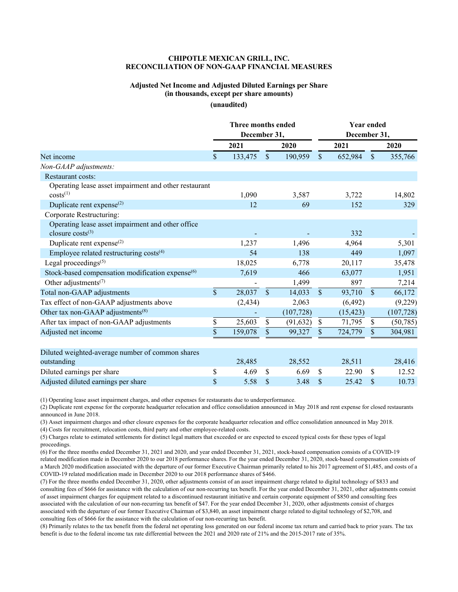### **Adjusted Net Income and Adjusted Diluted Earnings per Share (in thousands, except per share amounts)**

**(unaudited)**

|                                                              | Three months ended<br>December 31, |          |              | Year ended<br>December 31, |                    |           |               |            |
|--------------------------------------------------------------|------------------------------------|----------|--------------|----------------------------|--------------------|-----------|---------------|------------|
|                                                              |                                    | 2021     |              | 2020                       |                    | 2021      |               | 2020       |
| Net income                                                   | \$.                                | 133,475  | $\mathbb{S}$ | 190,959                    | \$                 | 652,984   | $\mathcal{S}$ | 355,766    |
| Non-GAAP adjustments:                                        |                                    |          |              |                            |                    |           |               |            |
| Restaurant costs:                                            |                                    |          |              |                            |                    |           |               |            |
| Operating lease asset impairment and other restaurant        |                                    |          |              |                            |                    |           |               |            |
| $costs^{(1)}$                                                |                                    | 1,090    |              | 3,587                      |                    | 3,722     |               | 14,802     |
| Duplicate rent expense $^{(2)}$                              |                                    | 12       |              | 69                         |                    | 152       |               | 329        |
| Corporate Restructuring:                                     |                                    |          |              |                            |                    |           |               |            |
| Operating lease asset impairment and other office            |                                    |          |              |                            |                    |           |               |            |
| closure $costs^{(3)}$                                        |                                    |          |              |                            |                    | 332       |               |            |
| Duplicate rent expense $^{(2)}$                              |                                    | 1,237    |              | 1,496                      |                    | 4,964     |               | 5,301      |
| Employee related restructuring costs <sup>(4)</sup>          |                                    | 54       |              | 138                        |                    | 449       |               | 1,097      |
| Legal proceedings <sup>(5)</sup>                             |                                    | 18,025   |              | 6,778                      |                    | 20,117    |               | 35,478     |
| Stock-based compensation modification expense <sup>(6)</sup> |                                    | 7,619    |              | 466                        |                    | 63,077    |               | 1,951      |
| Other adjustments <sup>(7)</sup>                             |                                    |          |              | 1,499                      |                    | 897       |               | 7,214      |
| Total non-GAAP adjustments                                   | $\mathbf{\hat{S}}$                 | 28,037   | $\mathbb{S}$ | 14,033                     | $\mathbf{\hat{S}}$ | 93,710    | $\mathcal{S}$ | 66,172     |
| Tax effect of non-GAAP adjustments above                     |                                    | (2, 434) |              | 2,063                      |                    | (6, 492)  |               | (9,229)    |
| Other tax non-GAAP adjustments <sup>(8)</sup>                |                                    |          |              | (107, 728)                 |                    | (15, 423) |               | (107, 728) |
| After tax impact of non-GAAP adjustments                     | \$                                 | 25,603   | \$           | (91, 632)                  | \$                 | 71,795    | $\$$          | (50, 785)  |
| Adjusted net income                                          | \$                                 | 159,078  | $\mathbb{S}$ | 99,327                     | \$                 | 724,779   | \$            | 304,981    |
| Diluted weighted-average number of common shares             |                                    |          |              |                            |                    |           |               |            |
| outstanding                                                  |                                    | 28,485   |              | 28,552                     |                    | 28,511    |               | 28,416     |
| Diluted earnings per share                                   | \$                                 | 4.69     | \$           | 6.69                       | \$                 | 22.90     | \$            | 12.52      |
| Adjusted diluted earnings per share                          | \$                                 | 5.58     | \$           | 3.48                       | \$                 | 25.42     | \$            | 10.73      |

(1) Operating lease asset impairment charges, and other expenses for restaurants due to underperformance.

(2) Duplicate rent expense for the corporate headquarter relocation and office consolidation announced in May 2018 and rent expense for closed restaurants announced in June 2018.

(3) Asset impairment charges and other closure expenses for the corporate headquarter relocation and office consolidation announced in May 2018.

(4) Costs for recruitment, relocation costs, third party and other employee-related costs.

(5) Charges relate to estimated settlements for distinct legal matters that exceeded or are expected to exceed typical costs for these types of legal proceedings.

(6) For the three months ended December 31, 2021 and 2020, and year ended December 31, 2021, stock-based compensation consists of a COVID-19 related modification made in December 2020 to our 2018 performance shares. For the year ended December 31, 2020, stock-based compensation consists of a March 2020 modification associated with the departure of our former Executive Chairman primarily related to his 2017 agreement of \$1,485, and costs of a COVID-19 related modification made in December 2020 to our 2018 performance shares of \$466.

(7) For the three months ended December 31, 2020, other adjustments consist of an asset impairment charge related to digital technology of \$833 and consulting fees of \$666 for assistance with the calculation of our non-recurring tax benefit. For the year ended December 31, 2021, other adjustments consist of asset impairment charges for equipment related to a discontinued restaurant initiative and certain corporate equipment of \$850 and consulting fees associated with the calculation of our non-recurring tax benefit of \$47. For the year ended December 31, 2020, other adjustments consist of charges associated with the departure of our former Executive Chairman of \$3,840, an asset impairment charge related to digital technology of \$2,708, and consulting fees of \$666 for the assistance with the calculation of our non-recurring tax benefit.

(8) Primarily relates to the tax benefit from the federal net operating loss generated on our federal income tax return and carried back to prior years. The tax benefit is due to the federal income tax rate differential between the 2021 and 2020 rate of 21% and the 2015-2017 rate of 35%.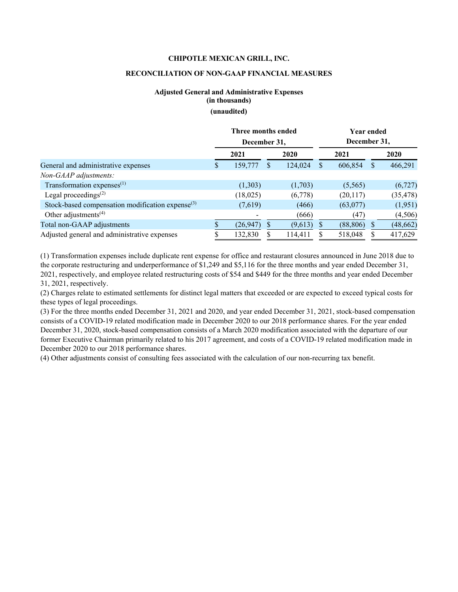### **CHIPOTLE MEXICAN GRILL, INC.**

## **RECONCILIATION OF NON-GAAP FINANCIAL MEASURES**

# **Adjusted General and Administrative Expenses (in thousands) (unaudited)**

|                                                     | Three months ended<br>December 31, |           |     | <b>Year ended</b><br>December 31, |          |           |   |           |
|-----------------------------------------------------|------------------------------------|-----------|-----|-----------------------------------|----------|-----------|---|-----------|
|                                                     |                                    | 2021      |     | 2020                              |          | 2021      |   | 2020      |
| General and administrative expenses                 | <b>S</b>                           | 159,777   | \$. | 124,024                           | <b>S</b> | 606,854   | S | 466,291   |
| Non-GAAP adjustments:                               |                                    |           |     |                                   |          |           |   |           |
| Transformation expenses $(1)$                       |                                    | (1,303)   |     | (1,703)                           |          | (5,565)   |   | (6,727)   |
| Legal proceedings $(2)$                             |                                    | (18,025)  |     | (6,778)                           |          | (20, 117) |   | (35, 478) |
| Stock-based compensation modification expense $(3)$ |                                    | (7,619)   |     | (466)                             |          | (63,077)  |   | (1,951)   |
| Other adjustments <sup>(4)</sup>                    |                                    |           |     | (666)                             |          | (47)      |   | (4,506)   |
| Total non-GAAP adjustments                          |                                    | (26, 947) | S   | (9,613)                           |          | (88, 806) | S | (48, 662) |
| Adjusted general and administrative expenses        |                                    | 132,830   |     | 114,411                           |          | 518,048   | S | 417,629   |

(1) Transformation expenses include duplicate rent expense for office and restaurant closures announced in June 2018 due to the corporate restructuring and underperformance of \$1,249 and \$5,116 for the three months and year ended December 31, 2021, respectively, and employee related restructuring costs of \$54 and \$449 for the three months and year ended December 31, 2021, respectively.

(2) Charges relate to estimated settlements for distinct legal matters that exceeded or are expected to exceed typical costs for these types of legal proceedings.

(3) For the three months ended December 31, 2021 and 2020, and year ended December 31, 2021, stock-based compensation consists of a COVID-19 related modification made in December 2020 to our 2018 performance shares. For the year ended December 31, 2020, stock-based compensation consists of a March 2020 modification associated with the departure of our former Executive Chairman primarily related to his 2017 agreement, and costs of a COVID-19 related modification made in December 2020 to our 2018 performance shares.

(4) Other adjustments consist of consulting fees associated with the calculation of our non-recurring tax benefit.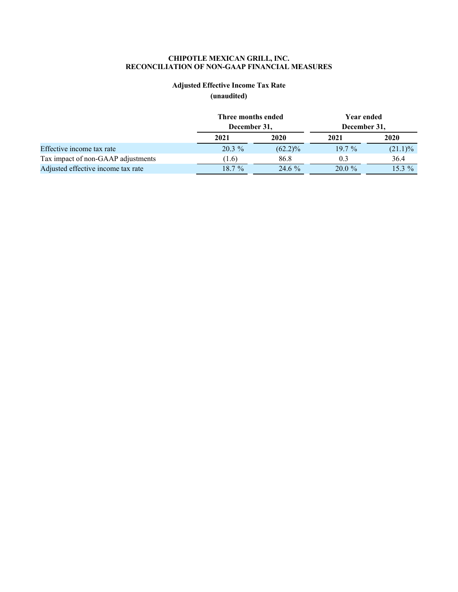# **Adjusted Effective Income Tax Rate**

**(unaudited)**

|                                    | Three months ended |            | Year ended   |            |  |  |
|------------------------------------|--------------------|------------|--------------|------------|--|--|
|                                    | December 31,       |            | December 31, |            |  |  |
|                                    | 2021               | 2020       | 2021         | 2020       |  |  |
| Effective income tax rate          | $20.3\%$           | $(62.2)\%$ | $19.7\%$     | $(21.1)\%$ |  |  |
| Tax impact of non-GAAP adjustments | (1.6)              | 86.8       | 0.3          | 36.4       |  |  |
| Adjusted effective income tax rate | $18.7\%$           | $24.6\%$   | $20.0 \%$    | $15.3\%$   |  |  |